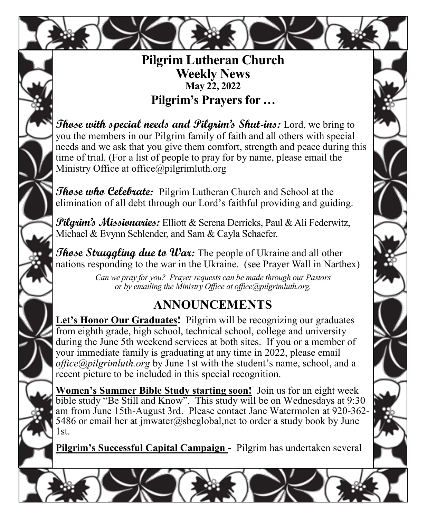

#### **Pilgrim Lutheran Church Weekly News May 22, 2022 Pilgrim's Prayers for …**

**Those with special needs and Pilgrim's Shut-ins:** Lord, we bring to you the members in our Pilgrim family of faith and all others with special needs and we ask that you give them comfort, strength and peace during this time of trial. (For a list of people to pray for by name, please email the Ministry Office at office $\omega$ pilgrimluth.org

**Those who Celebrate:** Pilgrim Lutheran Church and School at the elimination of all debt through our Lord's faithful providing and guiding.

**Pilgrim's Missionaries:** Elliott & Serena Derricks, Paul & Ali Federwitz, Michael & Evynn Schlender, and Sam & Cayla Schaefer.

*Those Struggling due to War:* The people of Ukraine and all other nations responding to the war in the Ukraine. (see Prayer Wall in Narthex)

> *Can we pray for you? Prayer requests can be made through our Pastors or by emailing the Ministry Office at office@pilgrimluth.org.*

# **ANNOUNCEMENTS**

**Let's Honor Our Graduates!** Pilgrim will be recognizing our graduates from eighth grade, high school, technical school, college and university during the June 5th weekend services at both sites. If you or a member of your immediate family is graduating at any time in 2022, please email *office@pilgrimluth.org* by June 1st with the student's name, school, and a recent picture to be included in this special recognition.

**Women's Summer Bible Study starting soon!** Join us for an eight week bible study "Be Still and Know". This study will be on Wednesdays at 9:30 am from June 15th-August 3rd. Please contact Jane Watermolen at 920-362- 5486 or email her at imwater@sbcglobal,net to order a study book by June 1st.

**Pilgrim's Successful Capital Campaign -** Pilgrim has undertaken several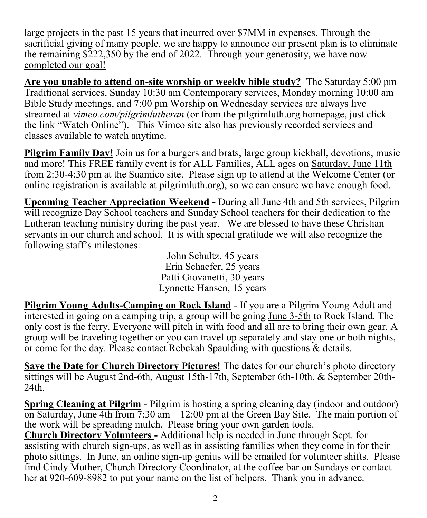large projects in the past 15 years that incurred over \$7MM in expenses. Through the sacrificial giving of many people, we are happy to announce our present plan is to eliminate the remaining \$222,350 by the end of 2022. Through your generosity, we have now completed our goal!

**Are you unable to attend on-site worship or weekly bible study?** The Saturday 5:00 pm Traditional services, Sunday 10:30 am Contemporary services, Monday morning 10:00 am Bible Study meetings, and 7:00 pm Worship on Wednesday services are always live streamed at *vimeo.com/pilgrimlutheran* (or from the pilgrimluth.org homepage, just click the link "Watch Online"). This Vimeo site also has previously recorded services and classes available to watch anytime.

**Pilgrim Family Day!** Join us for a burgers and brats, large group kickball, devotions, music and more! This FREE family event is for ALL Families, ALL ages on Saturday, June 11th from 2:30-4:30 pm at the Suamico site. Please sign up to attend at the Welcome Center (or online registration is available at pilgrimluth.org), so we can ensure we have enough food.

**Upcoming Teacher Appreciation Weekend -** During all June 4th and 5th services, Pilgrim will recognize Day School teachers and Sunday School teachers for their dedication to the Lutheran teaching ministry during the past year. We are blessed to have these Christian servants in our church and school. It is with special gratitude we will also recognize the following staff's milestones:

> John Schultz, 45 years Erin Schaefer, 25 years Patti Giovanetti, 30 years Lynnette Hansen, 15 years

**Pilgrim Young Adults-Camping on Rock Island** - If you are a Pilgrim Young Adult and interested in going on a camping trip, a group will be going June 3-5th to Rock Island. The only cost is the ferry. Everyone will pitch in with food and all are to bring their own gear. A group will be traveling together or you can travel up separately and stay one or both nights, or come for the day. Please contact Rebekah Spaulding with questions & details.

**Save the Date for Church Directory Pictures!** The dates for our church's photo directory sittings will be August 2nd-6th, August 15th-17th, September 6th-10th, & September 20th-24th.

**Spring Cleaning at Pilgrim** - Pilgrim is hosting a spring cleaning day (indoor and outdoor) on Saturday, June 4th from 7:30 am—12:00 pm at the Green Bay Site. The main portion of the work will be spreading mulch. Please bring your own garden tools.

**Church Directory Volunteers -** Additional help is needed in June through Sept. for assisting with church sign-ups, as well as in assisting families when they come in for their photo sittings. In June, an online sign-up genius will be emailed for volunteer shifts. Please find Cindy Muther, Church Directory Coordinator, at the coffee bar on Sundays or contact her at 920-609-8982 to put your name on the list of helpers. Thank you in advance.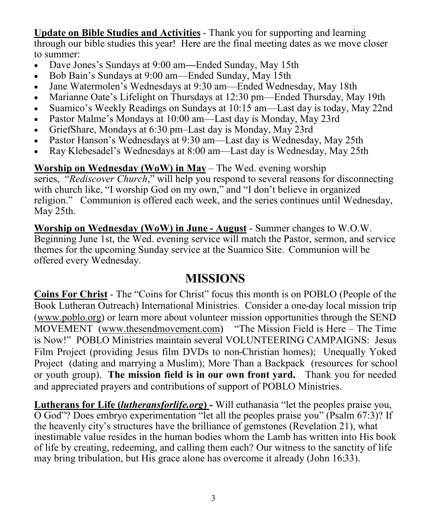**Update on Bible Studies and Activities** - Thank you for supporting and learning through our bible studies this year! Here are the final meeting dates as we move closer to summer:

- Dave Jones's Sundays at 9:00 am**—**Ended Sunday, May 15th
- Bob Bain's Sundays at 9:00 am—Ended Sunday, May 15th
- Jane Watermolen's Wednesdays at 9:30 am—Ended Wednesday, May 18th
- Marianne Oate's Lifelight on Thursdays at 12:30 pm—Ended Thursday, May 19th
- Suamico's Weekly Readings on Sundays at 10:15 am—Last day is today, May 22nd
- Pastor Malme's Mondays at 10:00 am—Last day is Monday, May 23rd
- GriefShare, Mondays at 6:30 pm–Last day is Monday, May 23rd
- Pastor Hanson's Wednesdays at 9:30 am—Last day is Wednesday, May 25th
- Ray Klebesadel's Wednesdays at 8:00 am—Last day is Wednesday, May 25th

**Worship on Wednesday (WoW) in May** – The Wed. evening worship

series, "*Rediscover Church*," will help you respond to several reasons for disconnecting with church like, "I worship God on my own," and "I don't believe in organized religion." Communion is offered each week, and the series continues until Wednesday, May 25th.

**Worship on Wednesday (WoW) in June - August** - Summer changes to W.O.W. Beginning June 1st, the Wed. evening service will match the Pastor, sermon, and service themes for the upcoming Sunday service at the Suamico Site. Communion will be offered every Wednesday.

#### **MISSIONS**

**Coins For Christ** - The "Coins for Christ" focus this month is on POBLO (People of the Book Lutheran Outreach) International Ministries. Consider a one-day local mission trip [\(www.poblo.org\)](http://www.poblo.org) or learn more about volunteer mission opportunities through the SEND MOVEMENT [\(www.thesendmovement.com](http://www.thesendmovement.com)) "The Mission Field is Here – The Time is Now!" POBLO Ministries maintain several VOLUNTEERING CAMPAIGNS: Jesus Film Project (providing Jesus film DVDs to non-Christian homes); Unequally Yoked Project (dating and marrying a Muslim); More Than a Backpack (resources for school or youth group). **The mission field is in our own front yard.** Thank you for needed and appreciated prayers and contributions of support of POBLO Ministries.

**Lutherans for Life (***lutheransforlife.org***) -** Will euthanasia "let the peoples praise you, O God"? Does embryo experimentation "let all the peoples praise you" (Psalm 67:3)? If the heavenly city's structures have the brilliance of gemstones (Revelation 21), what inestimable value resides in the human bodies whom the Lamb has written into His book of life by creating, redeeming, and calling them each? Our witness to the sanctity of life may bring tribulation, but His grace alone has overcome it already (John 16:33).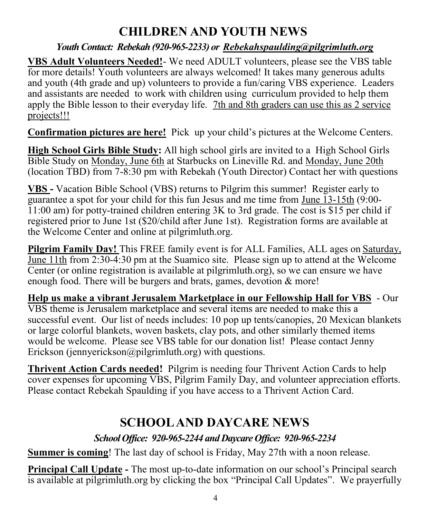# **CHILDREN AND YOUTH NEWS**

#### *Youth Contact: Rebekah (920-965-2233) or [Rebekahspaulding@pilgrimluth.org](mailto:Rebekahschumacher@pilgrimluth.org)*

**VBS Adult Volunteers Needed!**- We need ADULT volunteers, please see the VBS table for more details! Youth volunteers are always welcomed! It takes many generous adults and youth (4th grade and up) volunteers to provide a fun/caring VBS experience. Leaders and assistants are needed to work with children using curriculum provided to help them apply the Bible lesson to their everyday life. 7th and 8th graders can use this as 2 service projects!!!

**Confirmation pictures are here!** Pick up your child's pictures at the Welcome Centers.

**High School Girls Bible Study:** All high school girls are invited to a High School Girls Bible Study on Monday, June 6th at Starbucks on Lineville Rd. and Monday, June 20th (location TBD) from 7-8:30 pm with Rebekah (Youth Director) Contact her with questions

**VBS -** Vacation Bible School (VBS) returns to Pilgrim this summer! Register early to guarantee a spot for your child for this fun Jesus and me time from June 13-15th (9:00- 11:00 am) for potty-trained children entering 3K to 3rd grade. The cost is \$15 per child if registered prior to June 1st (\$20/child after June 1st). Registration forms are available at the Welcome Center and online at pilgrimluth.org.

**Pilgrim Family Day!** This FREE family event is for ALL Families, ALL ages on Saturday, June 11th from 2:30-4:30 pm at the Suamico site. Please sign up to attend at the Welcome Center (or online registration is available at pilgrimluth.org), so we can ensure we have enough food. There will be burgers and brats, games, devotion & more!

**Help us make a vibrant Jerusalem Marketplace in our Fellowship Hall for VBS** - Our VBS theme is Jerusalem marketplace and several items are needed to make this a successful event. Our list of needs includes: 10 pop up tents/canopies, 20 Mexican blankets or large colorful blankets, woven baskets, clay pots, and other similarly themed items would be welcome. Please see VBS table for our donation list! Please contact Jenny Erickson (jennyerickson@pilgrimluth.org) with questions.

**Thrivent Action Cards needed!** Pilgrim is needing four Thrivent Action Cards to help cover expenses for upcoming VBS, Pilgrim Family Day, and volunteer appreciation efforts. Please contact Rebekah Spaulding if you have access to a Thrivent Action Card.

## **SCHOOL AND DAYCARE NEWS**

#### *School Office: 920-965-2244 and Daycare Office: 920-965-2234*

**Summer is coming!** The last day of school is Friday, May 27th with a noon release.

**Principal Call Update -** The most up-to-date information on our school's Principal search is available at pilgrimluth.org by clicking the box "Principal Call Updates". We prayerfully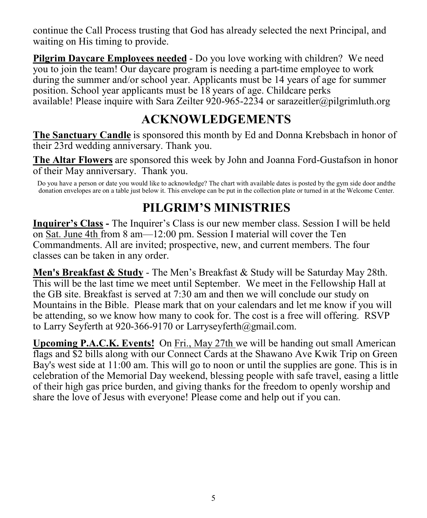continue the Call Process trusting that God has already selected the next Principal, and waiting on His timing to provide.

**Pilgrim Daycare Employees needed** - Do you love working with children? We need you to join the team! Our daycare program is needing a part-time employee to work during the summer and/or school year. Applicants must be 14 years of age for summer position. School year applicants must be 18 years of age. Childcare perks available! Please inquire with Sara Zeilter 920-965-2234 or [sarazeitler@pilgrimluth.org](mailto:sarazeitler@pilgrimluth.org)

# **ACKNOWLEDGEMENTS**

**The Sanctuary Candle** is sponsored this month by Ed and Donna Krebsbach in honor of their 23rd wedding anniversary. Thank you.

**The Altar Flowers** are sponsored this week by John and Joanna Ford-Gustafson in honor of their May anniversary. Thank you.

Do you have a person or date you would like to acknowledge? The chart with available dates is posted by the gym side door andthe donation envelopes are on a table just below it. This envelope can be put in the collection plate or turned in at the Welcome Center.

## **PILGRIM'S MINISTRIES**

**Inquirer's Class -** The Inquirer's Class is our new member class. Session I will be held on Sat. June 4th from 8 am—12:00 pm. Session I material will cover the Ten Commandments. All are invited; prospective, new, and current members. The four classes can be taken in any order.

**Men's Breakfast & Study** - The Men's Breakfast & Study will be Saturday May 28th. This will be the last time we meet until September. We meet in the Fellowship Hall at the GB site. Breakfast is served at 7:30 am and then we will conclude our study on Mountains in the Bible. Please mark that on your calendars and let me know if you will be attending, so we know how many to cook for. The cost is a free will offering. RSVP to Larry Seyferth at 920-366-9170 or Larryseyferth@gmail.com.

**Upcoming P.A.C.K. Events!** On Fri., May 27th we will be handing out small American flags and \$2 bills along with our Connect Cards at the Shawano Ave Kwik Trip on Green Bay's west side at 11:00 am. This will go to noon or until the supplies are gone. This is in celebration of the Memorial Day weekend, blessing people with safe travel, easing a little of their high gas price burden, and giving thanks for the freedom to openly worship and share the love of Jesus with everyone! Please come and help out if you can.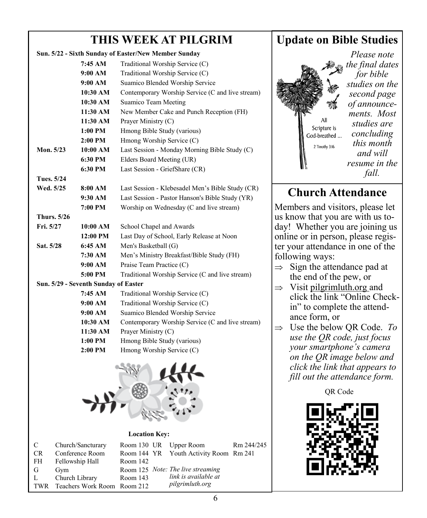### **THIS WEEK AT PILGRIM**

| Sun. 5/22 - Sixth Sunday of Easter/New Member Sunday |                                      |                                                                                      |  |  |  |  |  |
|------------------------------------------------------|--------------------------------------|--------------------------------------------------------------------------------------|--|--|--|--|--|
|                                                      | 7:45 AM                              | Traditional Worship Service (C)                                                      |  |  |  |  |  |
|                                                      | 9:00 AM                              | Traditional Worship Service (C)                                                      |  |  |  |  |  |
|                                                      | 9:00 AM                              | Suamico Blended Worship Service                                                      |  |  |  |  |  |
|                                                      | 10:30 AM                             | Contemporary Worship Service (C and live stream)                                     |  |  |  |  |  |
|                                                      | 10:30 AM                             | Suamico Team Meeting                                                                 |  |  |  |  |  |
|                                                      | 11:30 AM                             | New Member Cake and Punch Reception (FH)                                             |  |  |  |  |  |
|                                                      | 11:30 AM                             | Prayer Ministry (C)                                                                  |  |  |  |  |  |
|                                                      | 1:00 PM                              | Hmong Bible Study (various)                                                          |  |  |  |  |  |
|                                                      | 2:00 PM                              | Hmong Worship Service (C)                                                            |  |  |  |  |  |
|                                                      | Mon. 5/23<br>10:00 AM                | Last Session - Monday Morning Bible Study (C)                                        |  |  |  |  |  |
|                                                      | 6:30 PM                              | Elders Board Meeting (UR)                                                            |  |  |  |  |  |
| 6:30 PM                                              |                                      | Last Session - GriefShare (CR)                                                       |  |  |  |  |  |
| Tues. 5/24                                           |                                      |                                                                                      |  |  |  |  |  |
| Wed. 5/25<br>8:00 AM                                 |                                      | Last Session - Klebesadel Men's Bible Study (CR)                                     |  |  |  |  |  |
|                                                      | 9:30 AM                              | Last Session - Pastor Hanson's Bible Study (YR)                                      |  |  |  |  |  |
|                                                      | 7:00 PM                              | Worship on Wednesday (C and live stream)                                             |  |  |  |  |  |
|                                                      | <b>Thurs.</b> 5/26                   |                                                                                      |  |  |  |  |  |
| Fri. 5/27                                            | 10:00 AM                             | School Chapel and Awards                                                             |  |  |  |  |  |
|                                                      | 12:00 PM                             | Last Day of School, Early Release at Noon                                            |  |  |  |  |  |
| Sat. 5/28                                            | 6:45 AM                              | Men's Basketball (G)                                                                 |  |  |  |  |  |
|                                                      | 7:30 AM                              | Men's Ministry Breakfast/Bible Study (FH)                                            |  |  |  |  |  |
|                                                      | 9:00 AM                              | Praise Team Practice (C)                                                             |  |  |  |  |  |
|                                                      | 5:00 PM                              | Traditional Worship Service (C and live stream)                                      |  |  |  |  |  |
|                                                      | Sun. 5/29 - Seventh Sunday of Easter |                                                                                      |  |  |  |  |  |
| 7:45 AM                                              |                                      | Traditional Worship Service (C)                                                      |  |  |  |  |  |
|                                                      | 9:00 AM                              | Traditional Worship Service (C)                                                      |  |  |  |  |  |
| 9:00 AM                                              |                                      | Suamico Blended Worship Service                                                      |  |  |  |  |  |
| 10:30 AM                                             |                                      | Contemporary Worship Service (C and live stream)                                     |  |  |  |  |  |
|                                                      | 11:30 AM                             | Prayer Ministry (C)                                                                  |  |  |  |  |  |
|                                                      | 1:00 PM                              | Hmong Bible Study (various)                                                          |  |  |  |  |  |
|                                                      | 2:00 PM                              | Hmong Worship Service (C)                                                            |  |  |  |  |  |
|                                                      |                                      |                                                                                      |  |  |  |  |  |
|                                                      | <b>Location Key:</b>                 |                                                                                      |  |  |  |  |  |
| $\mathsf{C}$<br>CR.                                  | Church/Sancturary<br>Conference Room | Room 130 UR<br>Upper Room<br>Rm 244/245<br>Room 144 YR<br>Youth Activity Room Rm 241 |  |  |  |  |  |
| FH                                                   | Fellowship Hall                      | Room 142                                                                             |  |  |  |  |  |
| G                                                    | Gym                                  | Room 125 Note: The live streaming                                                    |  |  |  |  |  |
| $Churoh$ Library<br>т                                |                                      | $D_{\rm com}$ 142 link is available at                                               |  |  |  |  |  |

L Church Library Room 143 TWR Teachers Work Room Room 212

#### **Update on Bible Studies**

*Please note the final dates for bible studies on the second page of announcements. Most studies are*  Scripture is *concluding*  God-breathed ... *this month*  2 Timothy 3:16 *and will resume in the fall.*

## **Church Attendance**

Members and visitors, please let us know that you are with us today! Whether you are joining us online or in person, please register your attendance in one of the following ways:

- $\Rightarrow$  Sign the attendance pad at the end of the pew, or
- $\Rightarrow$  Visit pilgrimluth.org and click the link "Online Checkin" to complete the attendance form, or
- $\Rightarrow$  Use the below QR Code. *To use the QR code, just focus your smartphone's camera on the QR image below and click the link that appears to fill out the attendance form.*

OR Code



*pilgrimluth.org*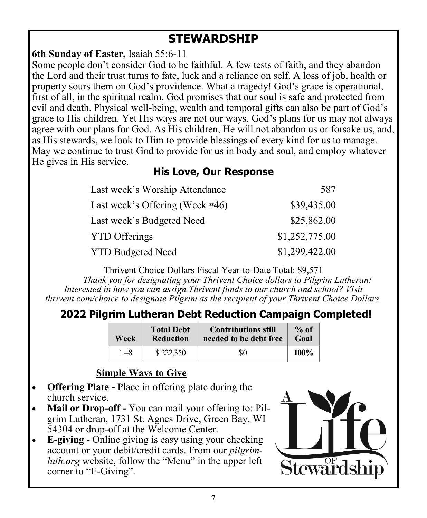## **STEWARDSHIP**

**6th Sunday of Easter,** Isaiah 55:6-11

Some people don't consider God to be faithful. A few tests of faith, and they abandon the Lord and their trust turns to fate, luck and a reliance on self. A loss of job, health or property sours them on God's providence. What a tragedy! God's grace is operational, first of all, in the spiritual realm. God promises that our soul is safe and protected from evil and death. Physical well-being, wealth and temporal gifts can also be part of God's grace to His children. Yet His ways are not our ways. God's plans for us may not always agree with our plans for God. As His children, He will not abandon us or forsake us, and, as His stewards, we look to Him to provide blessings of every kind for us to manage. May we continue to trust God to provide for us in body and soul, and employ whatever He gives in His service.

#### **His Love, Our Response**

| Last week's Worship Attendance      | 587            |
|-------------------------------------|----------------|
| Last week's Offering (Week $\#46$ ) | \$39,435.00    |
| Last week's Budgeted Need           | \$25,862.00    |
| <b>YTD Offerings</b>                | \$1,252,775.00 |
| <b>YTD Budgeted Need</b>            | \$1,299,422.00 |

Thrivent Choice Dollars Fiscal Year-to-Date Total: \$9,571

 *Thank you for designating your Thrivent Choice dollars to Pilgrim Lutheran! Interested in how you can assign Thrivent funds to our church and school? Visit thrivent.com/choice to designate Pilgrim as the recipient of your Thrivent Choice Dollars.* 

## **2022 Pilgrim Lutheran Debt Reduction Campaign Completed!**

| Week | <b>Total Debt</b><br><b>Reduction</b> | <b>Contributions still</b><br>needed to be debt free | $%$ of<br>Goal |
|------|---------------------------------------|------------------------------------------------------|----------------|
| 1 —8 | \$222,350                             | 80                                                   | 100%           |

#### **Simple Ways to Give**

- **Offering Plate -** Place in offering plate during the church service.
- **Mail or Drop-off -** You can mail your offering to: Pilgrim Lutheran, 1731 St. Agnes Drive, Green Bay, WI 54304 or drop-off at the Welcome Center.
- **E-giving -** Online giving is easy using your checking account or your debit/credit cards. From our *pilgrimluth.org* website, follow the "Menu" in the upper left corner to "E-Giving".